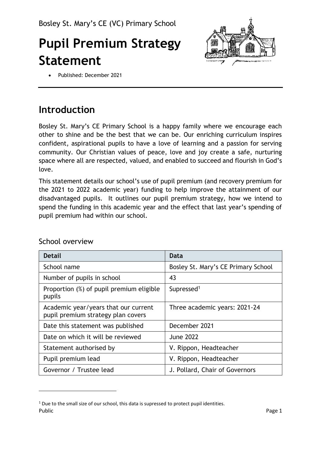# **Pupil Premium Strategy Statement**



• Published: December 2021

## **Introduction**

Bosley St. Mary's CE Primary School is a happy family where we encourage each other to shine and be the best that we can be. Our enriching curriculum inspires confident, aspirational pupils to have a love of learning and a passion for serving community. Our Christian values of peace, love and joy create a safe, nurturing space where all are respected, valued, and enabled to succeed and flourish in God's love.

This statement details our school's use of pupil premium (and recovery premium for the 2021 to 2022 academic year) funding to help improve the attainment of our disadvantaged pupils. It outlines our pupil premium strategy, how we intend to spend the funding in this academic year and the effect that last year's spending of pupil premium had within our school.

| <b>Detail</b>                                                              | Data                                |
|----------------------------------------------------------------------------|-------------------------------------|
| School name                                                                | Bosley St. Mary's CE Primary School |
| Number of pupils in school                                                 | 43                                  |
| Proportion (%) of pupil premium eligible<br>pupils                         | Supressed <sup>1</sup>              |
| Academic year/years that our current<br>pupil premium strategy plan covers | Three academic years: 2021-24       |
| Date this statement was published                                          | December 2021                       |
| Date on which it will be reviewed                                          | <b>June 2022</b>                    |
| Statement authorised by                                                    | V. Rippon, Headteacher              |
| Pupil premium lead                                                         | V. Rippon, Headteacher              |
| Governor / Trustee lead                                                    | J. Pollard, Chair of Governors      |

#### School overview

Public Page 1  $1$  Due to the small size of our school, this data is supressed to protect pupil identities.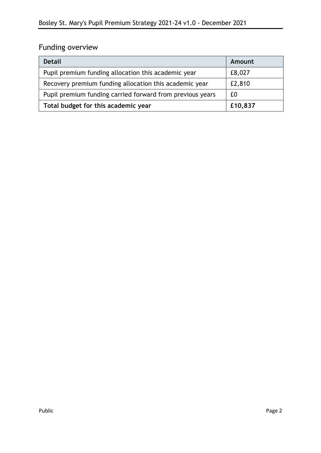### Funding overview

| <b>Detail</b>                                             | Amount  |
|-----------------------------------------------------------|---------|
| Pupil premium funding allocation this academic year       | £8,027  |
| Recovery premium funding allocation this academic year    | £2,810  |
| Pupil premium funding carried forward from previous years | £Ω      |
| Total budget for this academic year                       | £10,837 |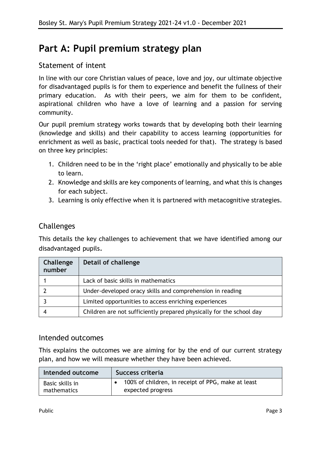### **Part A: Pupil premium strategy plan**

#### Statement of intent

In line with our core Christian values of peace, love and joy, our ultimate objective for disadvantaged pupils is for them to experience and benefit the fullness of their primary education. As with their peers, we aim for them to be confident, aspirational children who have a love of learning and a passion for serving community.

Our pupil premium strategy works towards that by developing both their learning (knowledge and skills) and their capability to access learning (opportunities for enrichment as well as basic, practical tools needed for that). The strategy is based on three key principles:

- 1. Children need to be in the 'right place' emotionally and physically to be able to learn.
- 2. Knowledge and skills are key components of learning, and what this is changes for each subject.
- 3. Learning is only effective when it is partnered with metacognitive strategies.

### Challenges

This details the key challenges to achievement that we have identified among our disadvantaged pupils.

| Challenge<br>number | Detail of challenge                                                  |
|---------------------|----------------------------------------------------------------------|
|                     | Lack of basic skills in mathematics                                  |
|                     | Under-developed oracy skills and comprehension in reading            |
|                     | Limited opportunities to access enriching experiences                |
|                     | Children are not sufficiently prepared physically for the school day |

#### Intended outcomes

This explains the outcomes we are aiming for by the end of our current strategy plan, and how we will measure whether they have been achieved.

| Intended outcome | Success criteria                                   |
|------------------|----------------------------------------------------|
| Basic skills in  | 100% of children, in receipt of PPG, make at least |
| mathematics      | expected progress                                  |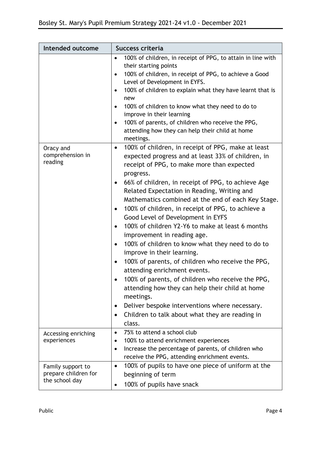| Intended outcome                                            | Success criteria                                                                                                                                                                                                                                                                                                                                                                                                                                                                                                                                                                                                                                                                                                                                                                                                                                                                                                                                                                                                                                                                                                                                                                                                                                                                                                                                                                  |  |  |
|-------------------------------------------------------------|-----------------------------------------------------------------------------------------------------------------------------------------------------------------------------------------------------------------------------------------------------------------------------------------------------------------------------------------------------------------------------------------------------------------------------------------------------------------------------------------------------------------------------------------------------------------------------------------------------------------------------------------------------------------------------------------------------------------------------------------------------------------------------------------------------------------------------------------------------------------------------------------------------------------------------------------------------------------------------------------------------------------------------------------------------------------------------------------------------------------------------------------------------------------------------------------------------------------------------------------------------------------------------------------------------------------------------------------------------------------------------------|--|--|
| Oracy and<br>comprehension in<br>reading                    | 100% of children, in receipt of PPG, to attain in line with<br>$\bullet$<br>their starting points<br>100% of children, in receipt of PPG, to achieve a Good<br>$\bullet$<br>Level of Development in EYFS.<br>100% of children to explain what they have learnt that is<br>٠<br>new<br>100% of children to know what they need to do to<br>$\bullet$<br>improve in their learning<br>100% of parents, of children who receive the PPG,<br>$\bullet$<br>attending how they can help their child at home<br>meetings.<br>100% of children, in receipt of PPG, make at least<br>$\bullet$<br>expected progress and at least 33% of children, in<br>receipt of PPG, to make more than expected<br>progress.<br>66% of children, in receipt of PPG, to achieve Age<br>Related Expectation in Reading, Writing and<br>Mathematics combined at the end of each Key Stage.<br>100% of children, in receipt of PPG, to achieve a<br>$\bullet$<br>Good Level of Development in EYFS<br>100% of children Y2-Y6 to make at least 6 months<br>$\bullet$<br>improvement in reading age.<br>100% of children to know what they need to do to<br>$\bullet$<br>improve in their learning.<br>100% of parents, of children who receive the PPG,<br>$\bullet$<br>attending enrichment events.<br>100% of parents, of children who receive the PPG,<br>attending how they can help their child at home |  |  |
|                                                             | meetings.<br>Deliver bespoke interventions where necessary.<br>$\bullet$<br>Children to talk about what they are reading in<br>class.                                                                                                                                                                                                                                                                                                                                                                                                                                                                                                                                                                                                                                                                                                                                                                                                                                                                                                                                                                                                                                                                                                                                                                                                                                             |  |  |
| Accessing enriching<br>experiences                          | 75% to attend a school club<br>$\bullet$<br>100% to attend enrichment experiences<br>Increase the percentage of parents, of children who<br>$\bullet$<br>receive the PPG, attending enrichment events.                                                                                                                                                                                                                                                                                                                                                                                                                                                                                                                                                                                                                                                                                                                                                                                                                                                                                                                                                                                                                                                                                                                                                                            |  |  |
| Family support to<br>prepare children for<br>the school day | 100% of pupils to have one piece of uniform at the<br>$\bullet$<br>beginning of term<br>100% of pupils have snack                                                                                                                                                                                                                                                                                                                                                                                                                                                                                                                                                                                                                                                                                                                                                                                                                                                                                                                                                                                                                                                                                                                                                                                                                                                                 |  |  |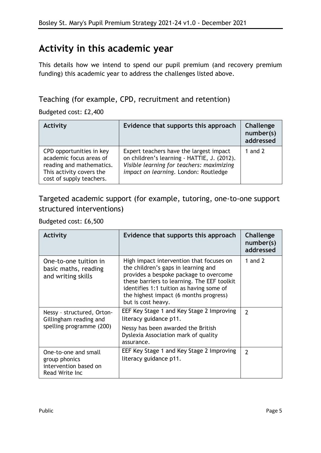### **Activity in this academic year**

This details how we intend to spend our pupil premium (and recovery premium funding) this academic year to address the challenges listed above.

### Teaching (for example, CPD, recruitment and retention)

Budgeted cost: £2,400

| <b>Activity</b>                                                                                                                         | Evidence that supports this approach                                                                                                                                         | Challenge<br>number(s)<br>addressed |
|-----------------------------------------------------------------------------------------------------------------------------------------|------------------------------------------------------------------------------------------------------------------------------------------------------------------------------|-------------------------------------|
| CPD opportunities in key<br>academic focus areas of<br>reading and mathematics.<br>This activity covers the<br>cost of supply teachers. | Expert teachers have the largest impact<br>on children's learning - HATTIE, J. (2012).<br>Visible learning for teachers: maximizing<br>impact on learning. London: Routledge | 1 and $2$                           |

### Targeted academic support (for example, tutoring, one-to-one support structured interventions)

#### Budgeted cost: £6,500

| <b>Activity</b>                                                                  | Evidence that supports this approach                                                                                                                                                                                                                                                 | Challenge<br>number(s)<br>addressed |
|----------------------------------------------------------------------------------|--------------------------------------------------------------------------------------------------------------------------------------------------------------------------------------------------------------------------------------------------------------------------------------|-------------------------------------|
| One-to-one tuition in<br>basic maths, reading<br>and writing skills              | High impact intervention that focuses on<br>the children's gaps in learning and<br>provides a bespoke package to overcome<br>these barriers to learning. The EEF toolkit<br>identifies 1:1 tuition as having some of<br>the highest impact (6 months progress)<br>but is cost heavy. | 1 and $2$                           |
| Nessy - structured, Orton-<br>Gillingham reading and<br>spelling programme (200) | EEF Key Stage 1 and Key Stage 2 Improving<br>literacy guidance p11.                                                                                                                                                                                                                  | $\overline{\phantom{a}}$            |
|                                                                                  | Nessy has been awarded the British<br>Dyslexia Association mark of quality<br>assurance.                                                                                                                                                                                             |                                     |
| One-to-one and small<br>group phonics<br>intervention based on<br>Read Write Inc | EEF Key Stage 1 and Key Stage 2 Improving<br>literacy guidance p11.                                                                                                                                                                                                                  | $\overline{\phantom{a}}$            |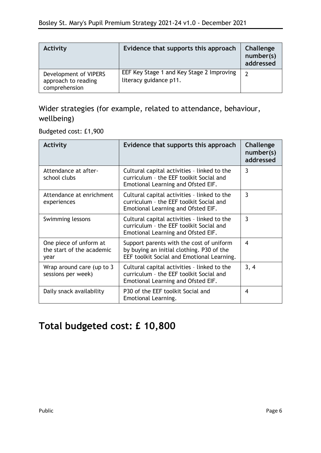| <b>Activity</b>                                               | Evidence that supports this approach                                | Challenge<br>number(s)<br>addressed |
|---------------------------------------------------------------|---------------------------------------------------------------------|-------------------------------------|
| Development of VIPERS<br>approach to reading<br>comprehension | EEF Key Stage 1 and Key Stage 2 Improving<br>literacy guidance p11. |                                     |

### Wider strategies (for example, related to attendance, behaviour, wellbeing)

#### Budgeted cost: £1,900

| <b>Activity</b>                                             | Evidence that supports this approach                                                                                                | Challenge<br>number(s)<br>addressed |
|-------------------------------------------------------------|-------------------------------------------------------------------------------------------------------------------------------------|-------------------------------------|
| Attendance at after-<br>school clubs                        | Cultural capital activities - linked to the<br>curriculum - the EEF toolkit Social and<br>Emotional Learning and Ofsted EIF.        | $\overline{3}$                      |
| Attendance at enrichment<br>experiences                     | Cultural capital activities - linked to the<br>curriculum - the EEF toolkit Social and<br>Emotional Learning and Ofsted EIF.        | 3                                   |
| Swimming lessons                                            | Cultural capital activities - linked to the<br>curriculum - the EEF toolkit Social and<br>Emotional Learning and Ofsted EIF.        | 3                                   |
| One piece of unform at<br>the start of the academic<br>year | Support parents with the cost of uniform<br>by buying an initial clothing. P30 of the<br>EEF toolkit Social and Emotional Learning. | 4                                   |
| Wrap around care (up to 3<br>sessions per week)             | Cultural capital activities - linked to the<br>curriculum - the EEF toolkit Social and<br>Emotional Learning and Ofsted EIF.        | 3, 4                                |
| Daily snack availability                                    | P30 of the EEF toolkit Social and<br>Emotional Learning.                                                                            | 4                                   |

### **Total budgeted cost: £ 10,800**